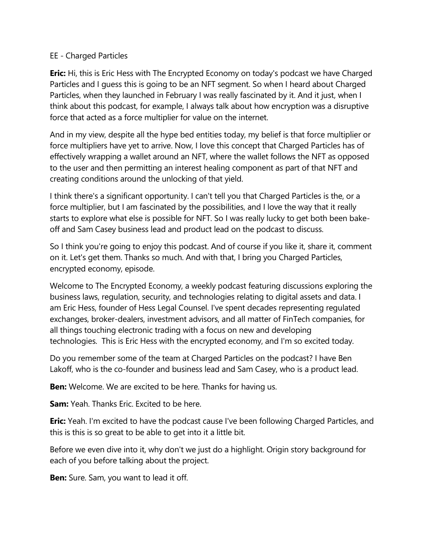## EE - Charged Particles

**Eric:** Hi, this is Eric Hess with The Encrypted Economy on today's podcast we have Charged Particles and I guess this is going to be an NFT segment. So when I heard about Charged Particles, when they launched in February I was really fascinated by it. And it just, when I think about this podcast, for example, I always talk about how encryption was a disruptive force that acted as a force multiplier for value on the internet.

And in my view, despite all the hype bed entities today, my belief is that force multiplier or force multipliers have yet to arrive. Now, I love this concept that Charged Particles has of effectively wrapping a wallet around an NFT, where the wallet follows the NFT as opposed to the user and then permitting an interest healing component as part of that NFT and creating conditions around the unlocking of that yield.

I think there's a significant opportunity. I can't tell you that Charged Particles is the, or a force multiplier, but I am fascinated by the possibilities, and I love the way that it really starts to explore what else is possible for NFT. So I was really lucky to get both been bakeoff and Sam Casey business lead and product lead on the podcast to discuss.

So I think you're going to enjoy this podcast. And of course if you like it, share it, comment on it. Let's get them. Thanks so much. And with that, I bring you Charged Particles, encrypted economy, episode.

Welcome to The Encrypted Economy, a weekly podcast featuring discussions exploring the business laws, regulation, security, and technologies relating to digital assets and data. I am Eric Hess, founder of Hess Legal Counsel. I've spent decades representing regulated exchanges, broker-dealers, investment advisors, and all matter of FinTech companies, for all things touching electronic trading with a focus on new and developing technologies. This is Eric Hess with the encrypted economy, and I'm so excited today.

Do you remember some of the team at Charged Particles on the podcast? I have Ben Lakoff, who is the co-founder and business lead and Sam Casey, who is a product lead.

**Ben:** Welcome. We are excited to be here. Thanks for having us.

**Sam:** Yeah. Thanks Eric. Excited to be here.

**Eric:** Yeah. I'm excited to have the podcast cause I've been following Charged Particles, and this is this is so great to be able to get into it a little bit.

Before we even dive into it, why don't we just do a highlight. Origin story background for each of you before talking about the project.

**Ben:** Sure. Sam, you want to lead it off.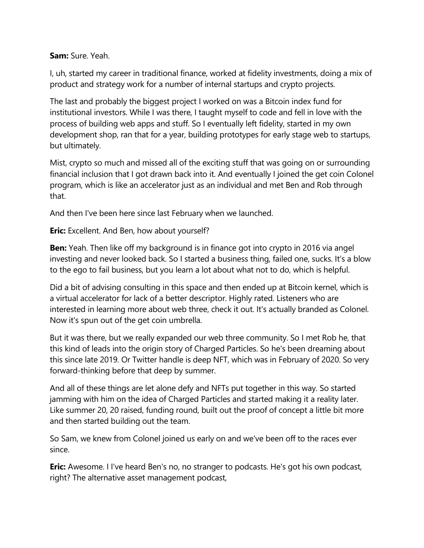**Sam:** Sure. Yeah.

I, uh, started my career in traditional finance, worked at fidelity investments, doing a mix of product and strategy work for a number of internal startups and crypto projects.

The last and probably the biggest project I worked on was a Bitcoin index fund for institutional investors. While I was there, I taught myself to code and fell in love with the process of building web apps and stuff. So I eventually left fidelity, started in my own development shop, ran that for a year, building prototypes for early stage web to startups, but ultimately.

Mist, crypto so much and missed all of the exciting stuff that was going on or surrounding financial inclusion that I got drawn back into it. And eventually I joined the get coin Colonel program, which is like an accelerator just as an individual and met Ben and Rob through that.

And then I've been here since last February when we launched.

**Eric:** Excellent. And Ben, how about yourself?

**Ben:** Yeah. Then like off my background is in finance got into crypto in 2016 via angel investing and never looked back. So I started a business thing, failed one, sucks. It's a blow to the ego to fail business, but you learn a lot about what not to do, which is helpful.

Did a bit of advising consulting in this space and then ended up at Bitcoin kernel, which is a virtual accelerator for lack of a better descriptor. Highly rated. Listeners who are interested in learning more about web three, check it out. It's actually branded as Colonel. Now it's spun out of the get coin umbrella.

But it was there, but we really expanded our web three community. So I met Rob he, that this kind of leads into the origin story of Charged Particles. So he's been dreaming about this since late 2019. Or Twitter handle is deep NFT, which was in February of 2020. So very forward-thinking before that deep by summer.

And all of these things are let alone defy and NFTs put together in this way. So started jamming with him on the idea of Charged Particles and started making it a reality later. Like summer 20, 20 raised, funding round, built out the proof of concept a little bit more and then started building out the team.

So Sam, we knew from Colonel joined us early on and we've been off to the races ever since.

**Eric:** Awesome. I I've heard Ben's no, no stranger to podcasts. He's got his own podcast, right? The alternative asset management podcast,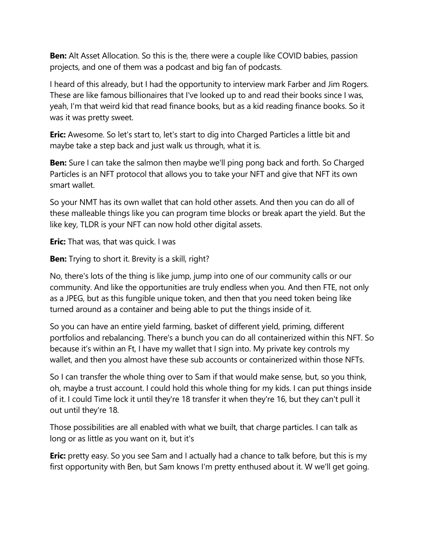**Ben:** Alt Asset Allocation. So this is the, there were a couple like COVID babies, passion projects, and one of them was a podcast and big fan of podcasts.

I heard of this already, but I had the opportunity to interview mark Farber and Jim Rogers. These are like famous billionaires that I've looked up to and read their books since I was, yeah, I'm that weird kid that read finance books, but as a kid reading finance books. So it was it was pretty sweet.

**Eric:** Awesome. So let's start to, let's start to dig into Charged Particles a little bit and maybe take a step back and just walk us through, what it is.

**Ben:** Sure I can take the salmon then maybe we'll ping pong back and forth. So Charged Particles is an NFT protocol that allows you to take your NFT and give that NFT its own smart wallet.

So your NMT has its own wallet that can hold other assets. And then you can do all of these malleable things like you can program time blocks or break apart the yield. But the like key, TLDR is your NFT can now hold other digital assets.

**Eric:** That was, that was quick. I was

**Ben:** Trying to short it. Brevity is a skill, right?

No, there's lots of the thing is like jump, jump into one of our community calls or our community. And like the opportunities are truly endless when you. And then FTE, not only as a JPEG, but as this fungible unique token, and then that you need token being like turned around as a container and being able to put the things inside of it.

So you can have an entire yield farming, basket of different yield, priming, different portfolios and rebalancing. There's a bunch you can do all containerized within this NFT. So because it's within an Ft, I have my wallet that I sign into. My private key controls my wallet, and then you almost have these sub accounts or containerized within those NFTs.

So I can transfer the whole thing over to Sam if that would make sense, but, so you think, oh, maybe a trust account. I could hold this whole thing for my kids. I can put things inside of it. I could Time lock it until they're 18 transfer it when they're 16, but they can't pull it out until they're 18.

Those possibilities are all enabled with what we built, that charge particles. I can talk as long or as little as you want on it, but it's

**Eric:** pretty easy. So you see Sam and I actually had a chance to talk before, but this is my first opportunity with Ben, but Sam knows I'm pretty enthused about it. W we'll get going.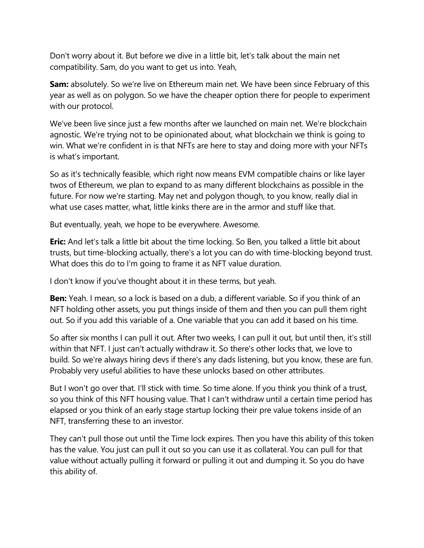Don't worry about it. But before we dive in a little bit, let's talk about the main net compatibility. Sam, do you want to get us into. Yeah,

**Sam:** absolutely. So we're live on Ethereum main net. We have been since February of this year as well as on polygon. So we have the cheaper option there for people to experiment with our protocol.

We've been live since just a few months after we launched on main net. We're blockchain agnostic. We're trying not to be opinionated about, what blockchain we think is going to win. What we're confident in is that NFTs are here to stay and doing more with your NFTs is what's important.

So as it's technically feasible, which right now means EVM compatible chains or like layer twos of Ethereum, we plan to expand to as many different blockchains as possible in the future. For now we're starting. May net and polygon though, to you know, really dial in what use cases matter, what, little kinks there are in the armor and stuff like that.

But eventually, yeah, we hope to be everywhere. Awesome.

**Eric:** And let's talk a little bit about the time locking. So Ben, you talked a little bit about trusts, but time-blocking actually, there's a lot you can do with time-blocking beyond trust. What does this do to I'm going to frame it as NFT value duration.

I don't know if you've thought about it in these terms, but yeah.

**Ben:** Yeah. I mean, so a lock is based on a dub, a different variable. So if you think of an NFT holding other assets, you put things inside of them and then you can pull them right out. So if you add this variable of a. One variable that you can add it based on his time.

So after six months I can pull it out. After two weeks, I can pull it out, but until then, it's still within that NFT. I just can't actually withdraw it. So there's other locks that, we love to build. So we're always hiring devs if there's any dads listening, but you know, these are fun. Probably very useful abilities to have these unlocks based on other attributes.

But I won't go over that. I'll stick with time. So time alone. If you think you think of a trust, so you think of this NFT housing value. That I can't withdraw until a certain time period has elapsed or you think of an early stage startup locking their pre value tokens inside of an NFT, transferring these to an investor.

They can't pull those out until the Time lock expires. Then you have this ability of this token has the value. You just can pull it out so you can use it as collateral. You can pull for that value without actually pulling it forward or pulling it out and dumping it. So you do have this ability of.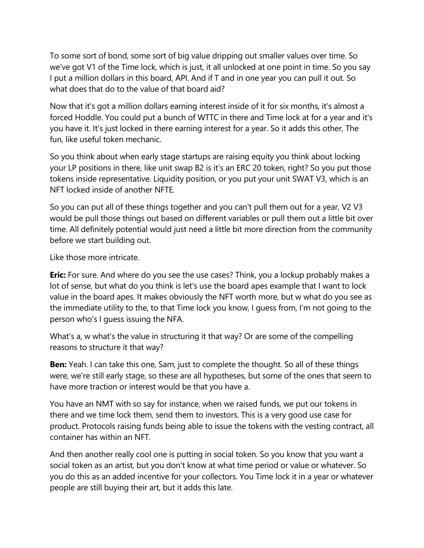To some sort of bond, some sort of big value dripping out smaller values over time. So we've got V1 of the Time lock, which is just, it all unlocked at one point in time. So you say I put a million dollars in this board, API. And if T and in one year you can pull it out. So what does that do to the value of that board aid?

Now that it's got a million dollars earning interest inside of it for six months, it's almost a forced Hoddle. You could put a bunch of WTTC in there and Time lock at for a year and it's you have it. It's just locked in there earning interest for a year. So it adds this other, The fun, like useful token mechanic.

So you think about when early stage startups are raising equity you think about locking your LP positions in there, like unit swap B2 is it's an ERC 20 token, right? So you put those tokens inside representative. Liquidity position, or you put your unit SWAT V3, which is an NFT locked inside of another NFTE.

So you can put all of these things together and you can't pull them out for a year, V2 V3 would be pull those things out based on different variables or pull them out a little bit over time. All definitely potential would just need a little bit more direction from the community before we start building out.

Like those more intricate.

**Eric:** For sure. And where do you see the use cases? Think, you a lockup probably makes a lot of sense, but what do you think is let's use the board apes example that I want to lock value in the board apes. It makes obviously the NFT worth more, but w what do you see as the immediate utility to the, to that Time lock you know, I guess from, I'm not going to the person who's I guess issuing the NFA.

What's a, w what's the value in structuring it that way? Or are some of the compelling reasons to structure it that way?

**Ben:** Yeah. I can take this one, Sam, just to complete the thought. So all of these things were, we're still early stage, so these are all hypotheses, but some of the ones that seem to have more traction or interest would be that you have a.

You have an NMT with so say for instance, when we raised funds, we put our tokens in there and we time lock them, send them to investors. This is a very good use case for product. Protocols raising funds being able to issue the tokens with the vesting contract, all container has within an NFT.

And then another really cool one is putting in social token. So you know that you want a social token as an artist, but you don't know at what time period or value or whatever. So you do this as an added incentive for your collectors. You Time lock it in a year or whatever people are still buying their art, but it adds this late.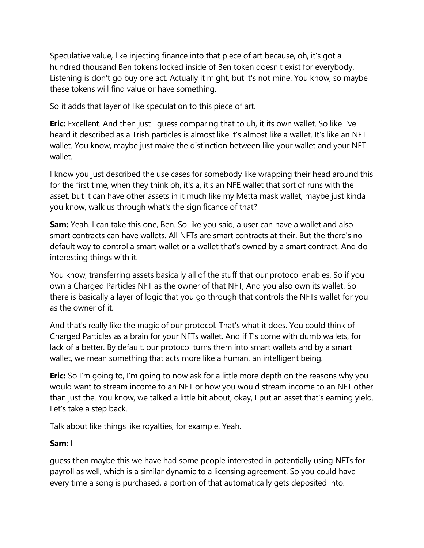Speculative value, like injecting finance into that piece of art because, oh, it's got a hundred thousand Ben tokens locked inside of Ben token doesn't exist for everybody. Listening is don't go buy one act. Actually it might, but it's not mine. You know, so maybe these tokens will find value or have something.

So it adds that layer of like speculation to this piece of art.

**Eric:** Excellent. And then just I guess comparing that to uh, it its own wallet. So like I've heard it described as a Trish particles is almost like it's almost like a wallet. It's like an NFT wallet. You know, maybe just make the distinction between like your wallet and your NFT wallet.

I know you just described the use cases for somebody like wrapping their head around this for the first time, when they think oh, it's a, it's an NFE wallet that sort of runs with the asset, but it can have other assets in it much like my Metta mask wallet, maybe just kinda you know, walk us through what's the significance of that?

**Sam:** Yeah. I can take this one, Ben. So like you said, a user can have a wallet and also smart contracts can have wallets. All NFTs are smart contracts at their. But the there's no default way to control a smart wallet or a wallet that's owned by a smart contract. And do interesting things with it.

You know, transferring assets basically all of the stuff that our protocol enables. So if you own a Charged Particles NFT as the owner of that NFT, And you also own its wallet. So there is basically a layer of logic that you go through that controls the NFTs wallet for you as the owner of it.

And that's really like the magic of our protocol. That's what it does. You could think of Charged Particles as a brain for your NFTs wallet. And if T's come with dumb wallets, for lack of a better. By default, our protocol turns them into smart wallets and by a smart wallet, we mean something that acts more like a human, an intelligent being.

**Eric:** So I'm going to, I'm going to now ask for a little more depth on the reasons why you would want to stream income to an NFT or how you would stream income to an NFT other than just the. You know, we talked a little bit about, okay, I put an asset that's earning yield. Let's take a step back.

Talk about like things like royalties, for example. Yeah.

# **Sam:** I

guess then maybe this we have had some people interested in potentially using NFTs for payroll as well, which is a similar dynamic to a licensing agreement. So you could have every time a song is purchased, a portion of that automatically gets deposited into.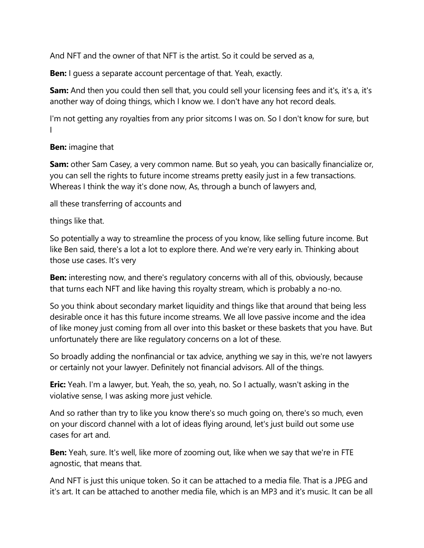And NFT and the owner of that NFT is the artist. So it could be served as a,

**Ben:** I guess a separate account percentage of that. Yeah, exactly.

**Sam:** And then you could then sell that, you could sell your licensing fees and it's, it's a, it's another way of doing things, which I know we. I don't have any hot record deals.

I'm not getting any royalties from any prior sitcoms I was on. So I don't know for sure, but I

**Ben:** imagine that

**Sam:** other Sam Casey, a very common name. But so yeah, you can basically financialize or, you can sell the rights to future income streams pretty easily just in a few transactions. Whereas I think the way it's done now, As, through a bunch of lawyers and,

all these transferring of accounts and

things like that.

So potentially a way to streamline the process of you know, like selling future income. But like Ben said, there's a lot a lot to explore there. And we're very early in. Thinking about those use cases. It's very

**Ben:** interesting now, and there's regulatory concerns with all of this, obviously, because that turns each NFT and like having this royalty stream, which is probably a no-no.

So you think about secondary market liquidity and things like that around that being less desirable once it has this future income streams. We all love passive income and the idea of like money just coming from all over into this basket or these baskets that you have. But unfortunately there are like regulatory concerns on a lot of these.

So broadly adding the nonfinancial or tax advice, anything we say in this, we're not lawyers or certainly not your lawyer. Definitely not financial advisors. All of the things.

**Eric:** Yeah. I'm a lawyer, but. Yeah, the so, yeah, no. So I actually, wasn't asking in the violative sense, I was asking more just vehicle.

And so rather than try to like you know there's so much going on, there's so much, even on your discord channel with a lot of ideas flying around, let's just build out some use cases for art and.

**Ben:** Yeah, sure. It's well, like more of zooming out, like when we say that we're in FTE agnostic, that means that.

And NFT is just this unique token. So it can be attached to a media file. That is a JPEG and it's art. It can be attached to another media file, which is an MP3 and it's music. It can be all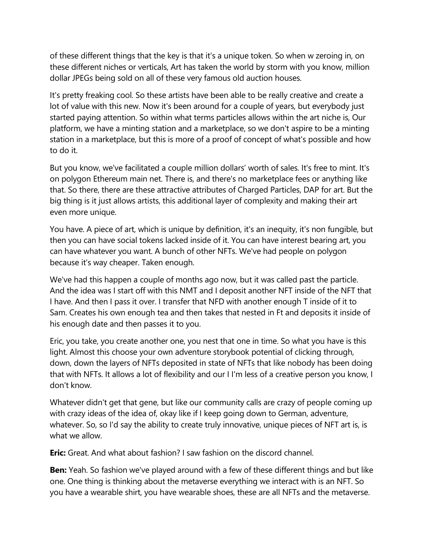of these different things that the key is that it's a unique token. So when w zeroing in, on these different niches or verticals, Art has taken the world by storm with you know, million dollar JPEGs being sold on all of these very famous old auction houses.

It's pretty freaking cool. So these artists have been able to be really creative and create a lot of value with this new. Now it's been around for a couple of years, but everybody just started paying attention. So within what terms particles allows within the art niche is, Our platform, we have a minting station and a marketplace, so we don't aspire to be a minting station in a marketplace, but this is more of a proof of concept of what's possible and how to do it.

But you know, we've facilitated a couple million dollars' worth of sales. It's free to mint. It's on polygon Ethereum main net. There is, and there's no marketplace fees or anything like that. So there, there are these attractive attributes of Charged Particles, DAP for art. But the big thing is it just allows artists, this additional layer of complexity and making their art even more unique.

You have. A piece of art, which is unique by definition, it's an inequity, it's non fungible, but then you can have social tokens lacked inside of it. You can have interest bearing art, you can have whatever you want. A bunch of other NFTs. We've had people on polygon because it's way cheaper. Taken enough.

We've had this happen a couple of months ago now, but it was called past the particle. And the idea was I start off with this NMT and I deposit another NFT inside of the NFT that I have. And then I pass it over. I transfer that NFD with another enough T inside of it to Sam. Creates his own enough tea and then takes that nested in Ft and deposits it inside of his enough date and then passes it to you.

Eric, you take, you create another one, you nest that one in time. So what you have is this light. Almost this choose your own adventure storybook potential of clicking through, down, down the layers of NFTs deposited in state of NFTs that like nobody has been doing that with NFTs. It allows a lot of flexibility and our I I'm less of a creative person you know, I don't know.

Whatever didn't get that gene, but like our community calls are crazy of people coming up with crazy ideas of the idea of, okay like if I keep going down to German, adventure, whatever. So, so I'd say the ability to create truly innovative, unique pieces of NFT art is, is what we allow.

**Eric:** Great. And what about fashion? I saw fashion on the discord channel.

**Ben:** Yeah. So fashion we've played around with a few of these different things and but like one. One thing is thinking about the metaverse everything we interact with is an NFT. So you have a wearable shirt, you have wearable shoes, these are all NFTs and the metaverse.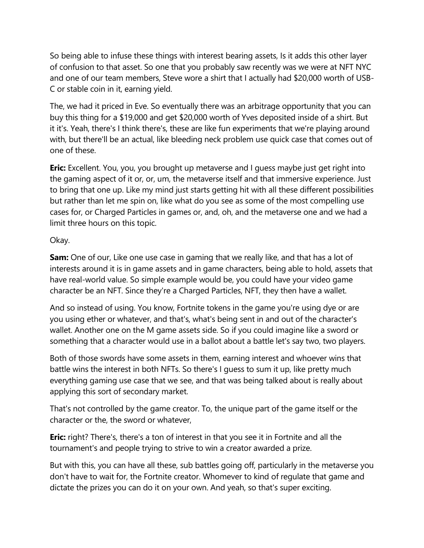So being able to infuse these things with interest bearing assets, Is it adds this other layer of confusion to that asset. So one that you probably saw recently was we were at NFT NYC and one of our team members, Steve wore a shirt that I actually had \$20,000 worth of USB-C or stable coin in it, earning yield.

The, we had it priced in Eve. So eventually there was an arbitrage opportunity that you can buy this thing for a \$19,000 and get \$20,000 worth of Yves deposited inside of a shirt. But it it's. Yeah, there's I think there's, these are like fun experiments that we're playing around with, but there'll be an actual, like bleeding neck problem use quick case that comes out of one of these.

**Eric:** Excellent. You, you, you brought up metaverse and I guess maybe just get right into the gaming aspect of it or, or, um, the metaverse itself and that immersive experience. Just to bring that one up. Like my mind just starts getting hit with all these different possibilities but rather than let me spin on, like what do you see as some of the most compelling use cases for, or Charged Particles in games or, and, oh, and the metaverse one and we had a limit three hours on this topic.

## Okay.

**Sam:** One of our, Like one use case in gaming that we really like, and that has a lot of interests around it is in game assets and in game characters, being able to hold, assets that have real-world value. So simple example would be, you could have your video game character be an NFT. Since they're a Charged Particles, NFT, they then have a wallet.

And so instead of using. You know, Fortnite tokens in the game you're using dye or are you using ether or whatever, and that's, what's being sent in and out of the character's wallet. Another one on the M game assets side. So if you could imagine like a sword or something that a character would use in a ballot about a battle let's say two, two players.

Both of those swords have some assets in them, earning interest and whoever wins that battle wins the interest in both NFTs. So there's I guess to sum it up, like pretty much everything gaming use case that we see, and that was being talked about is really about applying this sort of secondary market.

That's not controlled by the game creator. To, the unique part of the game itself or the character or the, the sword or whatever,

**Eric:** right? There's, there's a ton of interest in that you see it in Fortnite and all the tournament's and people trying to strive to win a creator awarded a prize.

But with this, you can have all these, sub battles going off, particularly in the metaverse you don't have to wait for, the Fortnite creator. Whomever to kind of regulate that game and dictate the prizes you can do it on your own. And yeah, so that's super exciting.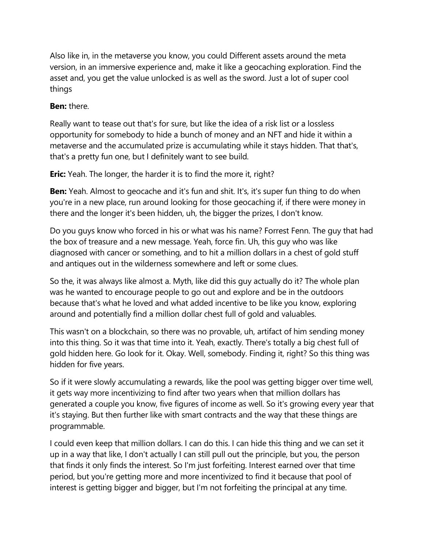Also like in, in the metaverse you know, you could Different assets around the meta version, in an immersive experience and, make it like a geocaching exploration. Find the asset and, you get the value unlocked is as well as the sword. Just a lot of super cool things

## **Ben:** there.

Really want to tease out that's for sure, but like the idea of a risk list or a lossless opportunity for somebody to hide a bunch of money and an NFT and hide it within a metaverse and the accumulated prize is accumulating while it stays hidden. That that's, that's a pretty fun one, but I definitely want to see build.

**Eric:** Yeah. The longer, the harder it is to find the more it, right?

**Ben:** Yeah. Almost to geocache and it's fun and shit. It's, it's super fun thing to do when you're in a new place, run around looking for those geocaching if, if there were money in there and the longer it's been hidden, uh, the bigger the prizes, I don't know.

Do you guys know who forced in his or what was his name? Forrest Fenn. The guy that had the box of treasure and a new message. Yeah, force fin. Uh, this guy who was like diagnosed with cancer or something, and to hit a million dollars in a chest of gold stuff and antiques out in the wilderness somewhere and left or some clues.

So the, it was always like almost a. Myth, like did this guy actually do it? The whole plan was he wanted to encourage people to go out and explore and be in the outdoors because that's what he loved and what added incentive to be like you know, exploring around and potentially find a million dollar chest full of gold and valuables.

This wasn't on a blockchain, so there was no provable, uh, artifact of him sending money into this thing. So it was that time into it. Yeah, exactly. There's totally a big chest full of gold hidden here. Go look for it. Okay. Well, somebody. Finding it, right? So this thing was hidden for five years.

So if it were slowly accumulating a rewards, like the pool was getting bigger over time well, it gets way more incentivizing to find after two years when that million dollars has generated a couple you know, five figures of income as well. So it's growing every year that it's staying. But then further like with smart contracts and the way that these things are programmable.

I could even keep that million dollars. I can do this. I can hide this thing and we can set it up in a way that like, I don't actually I can still pull out the principle, but you, the person that finds it only finds the interest. So I'm just forfeiting. Interest earned over that time period, but you're getting more and more incentivized to find it because that pool of interest is getting bigger and bigger, but I'm not forfeiting the principal at any time.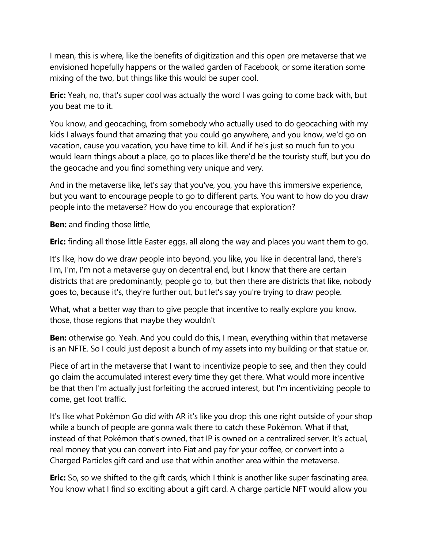I mean, this is where, like the benefits of digitization and this open pre metaverse that we envisioned hopefully happens or the walled garden of Facebook, or some iteration some mixing of the two, but things like this would be super cool.

**Eric:** Yeah, no, that's super cool was actually the word I was going to come back with, but you beat me to it.

You know, and geocaching, from somebody who actually used to do geocaching with my kids I always found that amazing that you could go anywhere, and you know, we'd go on vacation, cause you vacation, you have time to kill. And if he's just so much fun to you would learn things about a place, go to places like there'd be the touristy stuff, but you do the geocache and you find something very unique and very.

And in the metaverse like, let's say that you've, you, you have this immersive experience, but you want to encourage people to go to different parts. You want to how do you draw people into the metaverse? How do you encourage that exploration?

**Ben:** and finding those little,

**Eric:** finding all those little Easter eggs, all along the way and places you want them to go.

It's like, how do we draw people into beyond, you like, you like in decentral land, there's I'm, I'm, I'm not a metaverse guy on decentral end, but I know that there are certain districts that are predominantly, people go to, but then there are districts that like, nobody goes to, because it's, they're further out, but let's say you're trying to draw people.

What, what a better way than to give people that incentive to really explore you know, those, those regions that maybe they wouldn't

**Ben:** otherwise go. Yeah. And you could do this, I mean, everything within that metaverse is an NFTE. So I could just deposit a bunch of my assets into my building or that statue or.

Piece of art in the metaverse that I want to incentivize people to see, and then they could go claim the accumulated interest every time they get there. What would more incentive be that then I'm actually just forfeiting the accrued interest, but I'm incentivizing people to come, get foot traffic.

It's like what Pokémon Go did with AR it's like you drop this one right outside of your shop while a bunch of people are gonna walk there to catch these Pokémon. What if that, instead of that Pokémon that's owned, that IP is owned on a centralized server. It's actual, real money that you can convert into Fiat and pay for your coffee, or convert into a Charged Particles gift card and use that within another area within the metaverse.

**Eric:** So, so we shifted to the gift cards, which I think is another like super fascinating area. You know what I find so exciting about a gift card. A charge particle NFT would allow you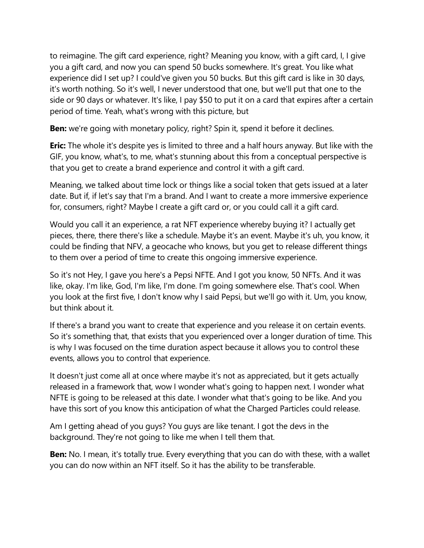to reimagine. The gift card experience, right? Meaning you know, with a gift card, I, I give you a gift card, and now you can spend 50 bucks somewhere. It's great. You like what experience did I set up? I could've given you 50 bucks. But this gift card is like in 30 days, it's worth nothing. So it's well, I never understood that one, but we'll put that one to the side or 90 days or whatever. It's like, I pay \$50 to put it on a card that expires after a certain period of time. Yeah, what's wrong with this picture, but

**Ben:** we're going with monetary policy, right? Spin it, spend it before it declines.

**Eric:** The whole it's despite yes is limited to three and a half hours anyway. But like with the GIF, you know, what's, to me, what's stunning about this from a conceptual perspective is that you get to create a brand experience and control it with a gift card.

Meaning, we talked about time lock or things like a social token that gets issued at a later date. But if, if let's say that I'm a brand. And I want to create a more immersive experience for, consumers, right? Maybe I create a gift card or, or you could call it a gift card.

Would you call it an experience, a rat NFT experience whereby buying it? I actually get pieces, there, there there's like a schedule. Maybe it's an event. Maybe it's uh, you know, it could be finding that NFV, a geocache who knows, but you get to release different things to them over a period of time to create this ongoing immersive experience.

So it's not Hey, I gave you here's a Pepsi NFTE. And I got you know, 50 NFTs. And it was like, okay. I'm like, God, I'm like, I'm done. I'm going somewhere else. That's cool. When you look at the first five, I don't know why I said Pepsi, but we'll go with it. Um, you know, but think about it.

If there's a brand you want to create that experience and you release it on certain events. So it's something that, that exists that you experienced over a longer duration of time. This is why I was focused on the time duration aspect because it allows you to control these events, allows you to control that experience.

It doesn't just come all at once where maybe it's not as appreciated, but it gets actually released in a framework that, wow I wonder what's going to happen next. I wonder what NFTE is going to be released at this date. I wonder what that's going to be like. And you have this sort of you know this anticipation of what the Charged Particles could release.

Am I getting ahead of you guys? You guys are like tenant. I got the devs in the background. They're not going to like me when I tell them that.

**Ben:** No. I mean, it's totally true. Every everything that you can do with these, with a wallet you can do now within an NFT itself. So it has the ability to be transferable.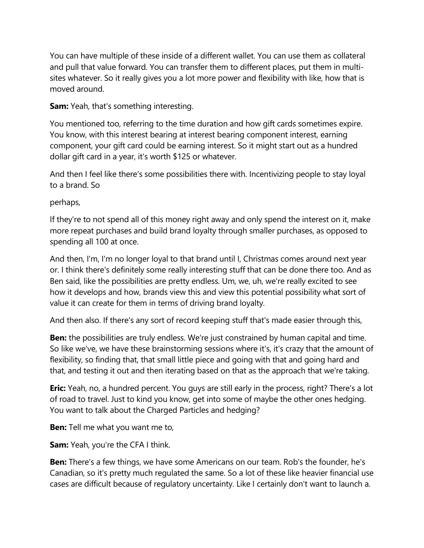You can have multiple of these inside of a different wallet. You can use them as collateral and pull that value forward. You can transfer them to different places, put them in multisites whatever. So it really gives you a lot more power and flexibility with like, how that is moved around.

**Sam:** Yeah, that's something interesting.

You mentioned too, referring to the time duration and how gift cards sometimes expire. You know, with this interest bearing at interest bearing component interest, earning component, your gift card could be earning interest. So it might start out as a hundred dollar gift card in a year, it's worth \$125 or whatever.

And then I feel like there's some possibilities there with. Incentivizing people to stay loyal to a brand. So

perhaps,

If they're to not spend all of this money right away and only spend the interest on it, make more repeat purchases and build brand loyalty through smaller purchases, as opposed to spending all 100 at once.

And then, I'm, I'm no longer loyal to that brand until I, Christmas comes around next year or. I think there's definitely some really interesting stuff that can be done there too. And as Ben said, like the possibilities are pretty endless. Um, we, uh, we're really excited to see how it develops and how, brands view this and view this potential possibility what sort of value it can create for them in terms of driving brand loyalty.

And then also. If there's any sort of record keeping stuff that's made easier through this,

**Ben:** the possibilities are truly endless. We're just constrained by human capital and time. So like we've, we have these brainstorming sessions where it's, it's crazy that the amount of flexibility, so finding that, that small little piece and going with that and going hard and that, and testing it out and then iterating based on that as the approach that we're taking.

**Eric:** Yeah, no, a hundred percent. You guys are still early in the process, right? There's a lot of road to travel. Just to kind you know, get into some of maybe the other ones hedging. You want to talk about the Charged Particles and hedging?

**Ben:** Tell me what you want me to,

**Sam:** Yeah, you're the CFA I think.

**Ben:** There's a few things, we have some Americans on our team. Rob's the founder, he's Canadian, so it's pretty much regulated the same. So a lot of these like heavier financial use cases are difficult because of regulatory uncertainty. Like I certainly don't want to launch a.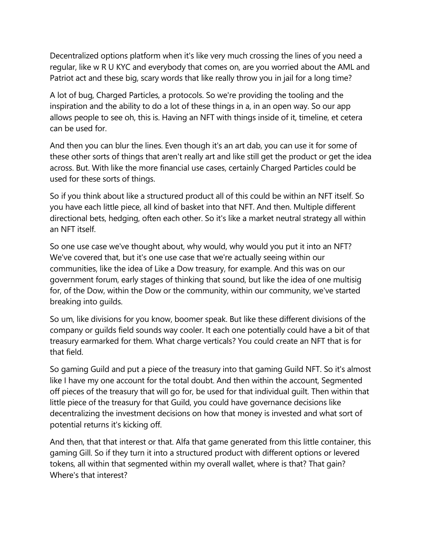Decentralized options platform when it's like very much crossing the lines of you need a regular, like w R U KYC and everybody that comes on, are you worried about the AML and Patriot act and these big, scary words that like really throw you in jail for a long time?

A lot of bug, Charged Particles, a protocols. So we're providing the tooling and the inspiration and the ability to do a lot of these things in a, in an open way. So our app allows people to see oh, this is. Having an NFT with things inside of it, timeline, et cetera can be used for.

And then you can blur the lines. Even though it's an art dab, you can use it for some of these other sorts of things that aren't really art and like still get the product or get the idea across. But. With like the more financial use cases, certainly Charged Particles could be used for these sorts of things.

So if you think about like a structured product all of this could be within an NFT itself. So you have each little piece, all kind of basket into that NFT. And then. Multiple different directional bets, hedging, often each other. So it's like a market neutral strategy all within an NFT itself.

So one use case we've thought about, why would, why would you put it into an NFT? We've covered that, but it's one use case that we're actually seeing within our communities, like the idea of Like a Dow treasury, for example. And this was on our government forum, early stages of thinking that sound, but like the idea of one multisig for, of the Dow, within the Dow or the community, within our community, we've started breaking into guilds.

So um, like divisions for you know, boomer speak. But like these different divisions of the company or guilds field sounds way cooler. It each one potentially could have a bit of that treasury earmarked for them. What charge verticals? You could create an NFT that is for that field.

So gaming Guild and put a piece of the treasury into that gaming Guild NFT. So it's almost like I have my one account for the total doubt. And then within the account, Segmented off pieces of the treasury that will go for, be used for that individual guilt. Then within that little piece of the treasury for that Guild, you could have governance decisions like decentralizing the investment decisions on how that money is invested and what sort of potential returns it's kicking off.

And then, that that interest or that. Alfa that game generated from this little container, this gaming Gill. So if they turn it into a structured product with different options or levered tokens, all within that segmented within my overall wallet, where is that? That gain? Where's that interest?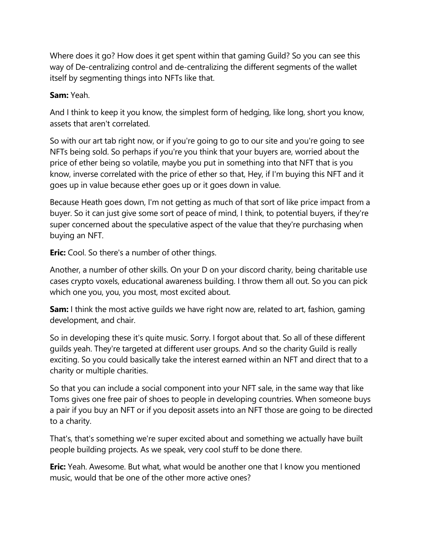Where does it go? How does it get spent within that gaming Guild? So you can see this way of De-centralizing control and de-centralizing the different segments of the wallet itself by segmenting things into NFTs like that.

### **Sam:** Yeah.

And I think to keep it you know, the simplest form of hedging, like long, short you know, assets that aren't correlated.

So with our art tab right now, or if you're going to go to our site and you're going to see NFTs being sold. So perhaps if you're you think that your buyers are, worried about the price of ether being so volatile, maybe you put in something into that NFT that is you know, inverse correlated with the price of ether so that, Hey, if I'm buying this NFT and it goes up in value because ether goes up or it goes down in value.

Because Heath goes down, I'm not getting as much of that sort of like price impact from a buyer. So it can just give some sort of peace of mind, I think, to potential buyers, if they're super concerned about the speculative aspect of the value that they're purchasing when buying an NFT.

**Eric:** Cool. So there's a number of other things.

Another, a number of other skills. On your D on your discord charity, being charitable use cases crypto voxels, educational awareness building. I throw them all out. So you can pick which one you, you, you most, most excited about.

**Sam:** I think the most active guilds we have right now are, related to art, fashion, gaming development, and chair.

So in developing these it's quite music. Sorry. I forgot about that. So all of these different guilds yeah. They're targeted at different user groups. And so the charity Guild is really exciting. So you could basically take the interest earned within an NFT and direct that to a charity or multiple charities.

So that you can include a social component into your NFT sale, in the same way that like Toms gives one free pair of shoes to people in developing countries. When someone buys a pair if you buy an NFT or if you deposit assets into an NFT those are going to be directed to a charity.

That's, that's something we're super excited about and something we actually have built people building projects. As we speak, very cool stuff to be done there.

**Eric:** Yeah. Awesome. But what, what would be another one that I know you mentioned music, would that be one of the other more active ones?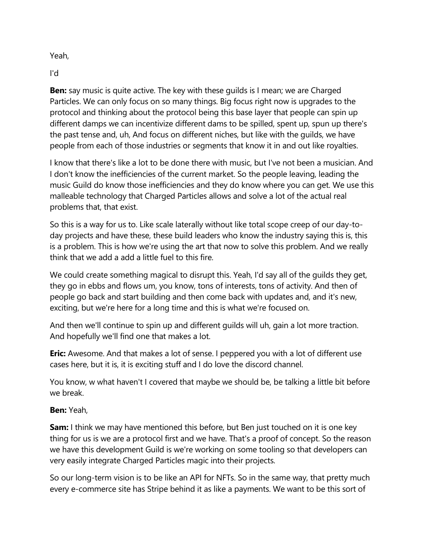Yeah,

I'd

**Ben:** say music is quite active. The key with these guilds is I mean; we are Charged Particles. We can only focus on so many things. Big focus right now is upgrades to the protocol and thinking about the protocol being this base layer that people can spin up different damps we can incentivize different dams to be spilled, spent up, spun up there's the past tense and, uh, And focus on different niches, but like with the guilds, we have people from each of those industries or segments that know it in and out like royalties.

I know that there's like a lot to be done there with music, but I've not been a musician. And I don't know the inefficiencies of the current market. So the people leaving, leading the music Guild do know those inefficiencies and they do know where you can get. We use this malleable technology that Charged Particles allows and solve a lot of the actual real problems that, that exist.

So this is a way for us to. Like scale laterally without like total scope creep of our day-today projects and have these, these build leaders who know the industry saying this is, this is a problem. This is how we're using the art that now to solve this problem. And we really think that we add a add a little fuel to this fire.

We could create something magical to disrupt this. Yeah, I'd say all of the guilds they get, they go in ebbs and flows um, you know, tons of interests, tons of activity. And then of people go back and start building and then come back with updates and, and it's new, exciting, but we're here for a long time and this is what we're focused on.

And then we'll continue to spin up and different guilds will uh, gain a lot more traction. And hopefully we'll find one that makes a lot.

**Eric:** Awesome. And that makes a lot of sense. I peppered you with a lot of different use cases here, but it is, it is exciting stuff and I do love the discord channel.

You know, w what haven't I covered that maybe we should be, be talking a little bit before we break.

# **Ben:** Yeah,

**Sam:** I think we may have mentioned this before, but Ben just touched on it is one key thing for us is we are a protocol first and we have. That's a proof of concept. So the reason we have this development Guild is we're working on some tooling so that developers can very easily integrate Charged Particles magic into their projects.

So our long-term vision is to be like an API for NFTs. So in the same way, that pretty much every e-commerce site has Stripe behind it as like a payments. We want to be this sort of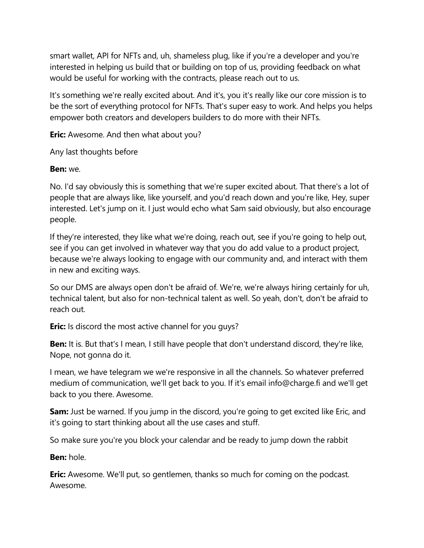smart wallet, API for NFTs and, uh, shameless plug, like if you're a developer and you're interested in helping us build that or building on top of us, providing feedback on what would be useful for working with the contracts, please reach out to us.

It's something we're really excited about. And it's, you it's really like our core mission is to be the sort of everything protocol for NFTs. That's super easy to work. And helps you helps empower both creators and developers builders to do more with their NFTs.

**Eric:** Awesome. And then what about you?

Any last thoughts before

**Ben:** we.

No. I'd say obviously this is something that we're super excited about. That there's a lot of people that are always like, like yourself, and you'd reach down and you're like, Hey, super interested. Let's jump on it. I just would echo what Sam said obviously, but also encourage people.

If they're interested, they like what we're doing, reach out, see if you're going to help out, see if you can get involved in whatever way that you do add value to a product project, because we're always looking to engage with our community and, and interact with them in new and exciting ways.

So our DMS are always open don't be afraid of. We're, we're always hiring certainly for uh, technical talent, but also for non-technical talent as well. So yeah, don't, don't be afraid to reach out.

**Eric:** Is discord the most active channel for you guys?

**Ben:** It is. But that's I mean, I still have people that don't understand discord, they're like, Nope, not gonna do it.

I mean, we have telegram we we're responsive in all the channels. So whatever preferred medium of communication, we'll get back to you. If it's email info@charge.fi and we'll get back to you there. Awesome.

**Sam:** Just be warned. If you jump in the discord, you're going to get excited like Eric, and it's going to start thinking about all the use cases and stuff.

So make sure you're you block your calendar and be ready to jump down the rabbit

**Ben:** hole.

**Eric:** Awesome. We'll put, so gentlemen, thanks so much for coming on the podcast. Awesome.